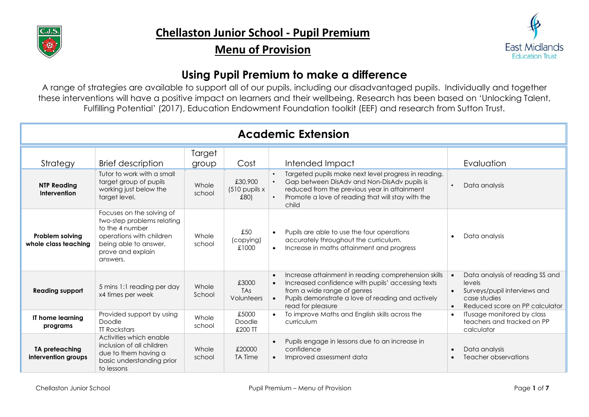



#### **Using Pupil Premium to make a difference**

A range of strategies are available to support all of our pupils, including our disadvantaged pupils. Individually and together these interventions will have a positive impact on learners and their wellbeing. Research has been based on 'Unlocking Talent, Fulfilling Potential' (2017), Education Endowment Foundation toolkit (EEF) and research from Sutton Trust.

| <b>Academic Extension</b>                    |                                                                                                                                                                  |                 |                                      |                                                                                                                                                                                                                   |                                                                                                                             |  |  |  |
|----------------------------------------------|------------------------------------------------------------------------------------------------------------------------------------------------------------------|-----------------|--------------------------------------|-------------------------------------------------------------------------------------------------------------------------------------------------------------------------------------------------------------------|-----------------------------------------------------------------------------------------------------------------------------|--|--|--|
| Strategy                                     | <b>Brief description</b>                                                                                                                                         | Target<br>group | Cost                                 | Intended Impact                                                                                                                                                                                                   | Evaluation                                                                                                                  |  |  |  |
| <b>NTP Reading</b><br>Intervention           | Tutor to work with a small<br>target group of pupils<br>working just below the<br>target level.                                                                  | Whole<br>school | £30,900<br>$(510$ pupils $x$<br>£80) | Targeted pupils make next level progress in reading.<br>Gap between DisAdv and Non-DisAdv pupils is<br>reduced from the previous year in attainment<br>Promote a love of reading that will stay with the<br>child | Data analysis                                                                                                               |  |  |  |
| Problem solving<br>whole class teaching      | Focuses on the solving of<br>two-step problems relating<br>to the 4 number<br>operations with children<br>being able to answer,<br>prove and explain<br>answers. | Whole<br>school | £50<br>(copying)<br>£1000            | Pupils are able to use the four operations<br>$\bullet$<br>accurately throughout the curriculum.<br>Increase in maths attainment and progress                                                                     | Data analysis                                                                                                               |  |  |  |
| <b>Reading support</b>                       | 5 mins 1:1 reading per day<br>x4 times per week                                                                                                                  | Whole<br>School | £3000<br><b>TAs</b><br>Volunteers    | Increase attainment in reading comprehension skills<br>Increased confidence with pupils' accessing texts<br>from a wide range of genres<br>Pupils demonstrate a love of reading and actively<br>read for pleasure | Data analysis of reading SS and<br>levels<br>Surveys/pupil interviews and<br>case studies<br>Reduced score on PP calculator |  |  |  |
| IT home learning<br>programs                 | Provided support by using<br>Doodle<br><b>TT Rockstars</b>                                                                                                       | Whole<br>school | £5000<br>Doodle<br>£200 TT           | To improve Maths and English skills across the<br>curriculum                                                                                                                                                      | ITusage monitored by class<br>teachers and tracked on PP<br>calculator                                                      |  |  |  |
| <b>TA preteaching</b><br>intervention groups | Activities which enable<br>inclusion of all children<br>due to them having a<br>basic understanding prior<br>to lessons                                          | Whole<br>school | £20000<br><b>TA Time</b>             | Pupils engage in lessons due to an increase in<br>confidence<br>Improved assessment data                                                                                                                          | Data analysis<br><b>Teacher observations</b>                                                                                |  |  |  |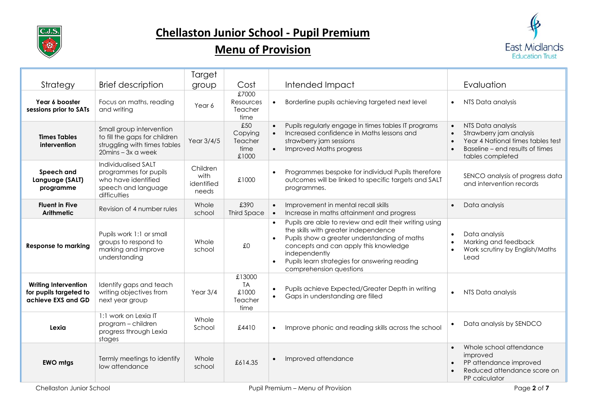

# **Chellaston Junior School - Pupil Premium**

## **Menu of Provision**



|                                                                             |                                                                                                                      | Target                                  |                                                 |                                                                                                                                                                                                                                                                                                                                                                                                   |
|-----------------------------------------------------------------------------|----------------------------------------------------------------------------------------------------------------------|-----------------------------------------|-------------------------------------------------|---------------------------------------------------------------------------------------------------------------------------------------------------------------------------------------------------------------------------------------------------------------------------------------------------------------------------------------------------------------------------------------------------|
| Strategy                                                                    | <b>Brief description</b>                                                                                             | group                                   | Cost                                            | Intended Impact<br>Evaluation                                                                                                                                                                                                                                                                                                                                                                     |
| Year 6 booster<br>sessions prior to SATs                                    | Focus on maths, reading<br>and writing                                                                               | Year 6                                  | £7000<br>Resources<br>Teacher<br>time           | Borderline pupils achieving targeted next level<br>NTS Data analysis<br>$\bullet$                                                                                                                                                                                                                                                                                                                 |
| <b>Times Tables</b><br>intervention                                         | Small group intervention<br>to fill the gaps for children<br>struggling with times tables<br>$20$ mins – $3x$ a week | Year 3/4/5                              | £50<br>Copying<br>Teacher<br>time<br>£1000      | Pupils regularly engage in times tables IT programs<br>NTS Data analysis<br>Increased confidence in Maths lessons and<br>Strawberry jam analysis<br>Year 4 National times tables test<br>strawberry jam sessions<br>Baseline – end results of times<br>Improved Maths progress<br>$\bullet$<br>tables completed                                                                                   |
| Speech and<br>Language (SALT)<br>programme                                  | <b>Individualised SALT</b><br>programmes for pupils<br>who have identified<br>speech and language<br>difficulties    | Children<br>with<br>identified<br>needs | £1000                                           | Programmes bespoke for individual Pupils therefore<br>SENCO analysis of progress data<br>outcomes will be linked to specific targets and SALT<br>and intervention records<br>programmes.                                                                                                                                                                                                          |
| <b>Fluent in Five</b><br>Arithmetic                                         | Revision of 4 number rules                                                                                           | Whole<br>school                         | £390<br><b>Third Space</b>                      | Improvement in mental recall skills<br>Data analysis<br>Increase in maths attainment and progress                                                                                                                                                                                                                                                                                                 |
| <b>Response to marking</b>                                                  | Pupils work 1:1 or small<br>groups to respond to<br>marking and improve<br>understanding                             | Whole<br>school                         | £0                                              | Pupils are able to review and edit their writing using<br>$\bullet$<br>the skills with greater independence<br>Data analysis<br>Pupils show a greater understanding of maths<br>$\bullet$<br>Marking and feedback<br>concepts and can apply this knowledge<br>Work scrutiny by English/Maths<br>independently<br>Lead<br>Pupils learn strategies for answering reading<br>comprehension questions |
| <b>Writing Intervention</b><br>for pupils targeted to<br>achieve EXS and GD | Identify gaps and teach<br>writing objectives from<br>next year group                                                | Year $3/4$                              | £13000<br><b>TA</b><br>£1000<br>Teacher<br>time | Pupils achieve Expected/Greater Depth in writing<br>NTS Data analysis<br>Gaps in understanding are filled                                                                                                                                                                                                                                                                                         |
| Lexia                                                                       | 1:1 work on Lexia IT<br>program - children<br>progress through Lexia<br>stages                                       | Whole<br>School                         | £4410                                           | Data analysis by SENDCO<br>Improve phonic and reading skills across the school                                                                                                                                                                                                                                                                                                                    |
| <b>EWO mtgs</b>                                                             | Termly meetings to identify<br>low attendance                                                                        | Whole<br>school                         | £614.35                                         | Whole school attendance<br>improved<br>Improved attendance<br>PP attendance improved<br>Reduced attendance score on<br>PP calculator                                                                                                                                                                                                                                                              |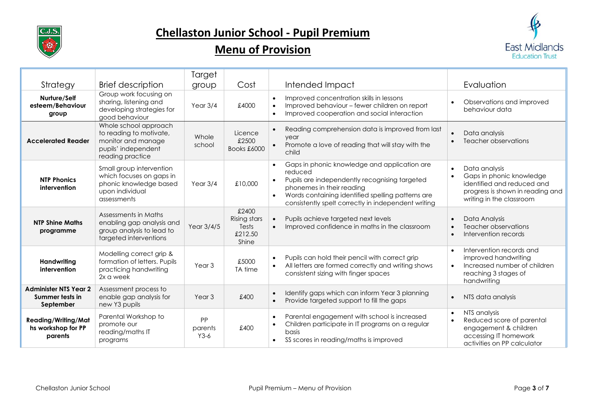

# **Chellaston Junior School - Pupil Premium**

## **Menu of Provision**



| Strategy                                                     | <b>Brief description</b>                                                                                          | Target<br>group         | Cost                                               | Evaluation<br>Intended Impact                                                                                                                                                                                                                                                                                                                                                                             |
|--------------------------------------------------------------|-------------------------------------------------------------------------------------------------------------------|-------------------------|----------------------------------------------------|-----------------------------------------------------------------------------------------------------------------------------------------------------------------------------------------------------------------------------------------------------------------------------------------------------------------------------------------------------------------------------------------------------------|
| Nurture/Self<br>esteem/Behaviour<br>group                    | Group work focusing on<br>sharing, listening and<br>developing strategies for<br>good behaviour                   | Year $3/4$              | £4000                                              | Improved concentration skills in lessons<br>Observations and improved<br>Improved behaviour - fewer children on report<br>behaviour data<br>Improved cooperation and social interaction                                                                                                                                                                                                                   |
| <b>Accelerated Reader</b>                                    | Whole school approach<br>to reading to motivate,<br>monitor and manage<br>pupils' independent<br>reading practice | Whole<br>school         | Licence<br>£2500<br>Books £6000                    | Reading comprehension data is improved from last<br>Data analysis<br>year<br><b>Teacher observations</b><br>Promote a love of reading that will stay with the<br>child                                                                                                                                                                                                                                    |
| <b>NTP Phonics</b><br>intervention                           | Small group intervention<br>which focuses on gaps in<br>phonic knowledge based<br>upon individual<br>assessments  | Year $3/4$              | £10,000                                            | Gaps in phonic knowledge and application are<br>Data analysis<br>reduced<br>Gaps in phonic knowledge<br>Pupils are independently recognising targeted<br>identified and reduced and<br>phonemes in their reading<br>progress is shown in reading and<br>Words containing identified spelling patterns are<br>$\bullet$<br>writing in the classroom<br>consistently spelt correctly in independent writing |
| <b>NTP Shine Maths</b><br>programme                          | Assessments in Maths<br>enabling gap analysis and<br>group analysis to lead to<br>targeted interventions          | Year $3/4/5$            | £2400<br>Rising stars<br>Tests<br>£212.50<br>Shine | Pupils achieve targeted next levels<br>Data Analysis<br>Improved confidence in maths in the classroom<br><b>Teacher observations</b><br>Intervention records                                                                                                                                                                                                                                              |
| Handwriting<br>intervention                                  | Modelling correct grip &<br>formation of letters. Pupils<br>practicing handwriting<br>2x a week                   | Year <sub>3</sub>       | £5000<br>TA time                                   | Intervention records and<br>Pupils can hold their pencil with correct grip<br>improved handwriting<br>All letters are formed correctly and writing shows<br>Increased number of children<br>consistent sizing with finger spaces<br>reaching 3 stages of<br>handwriting                                                                                                                                   |
| <b>Administer NTS Year 2</b><br>Summer tests in<br>September | Assessment process to<br>enable gap analysis for<br>new Y3 pupils                                                 | Year <sub>3</sub>       | £400                                               | Identify gaps which can inform Year 3 planning<br>$\bullet$<br>NTS data analysis<br>Provide targeted support to fill the gaps                                                                                                                                                                                                                                                                             |
| <b>Reading/Writing/Mat</b><br>hs workshop for PP<br>parents  | Parental Workshop to<br>promote our<br>reading/maths IT<br>programs                                               | PP<br>parents<br>$Y3-6$ | £400                                               | NTS analysis<br>Parental engagement with school is increased<br>Reduced score of parental<br>Children participate in IT programs on a regular<br>engagement & children<br>basis<br>accessing IT homework<br>SS scores in reading/maths is improved<br>activities on PP calculator                                                                                                                         |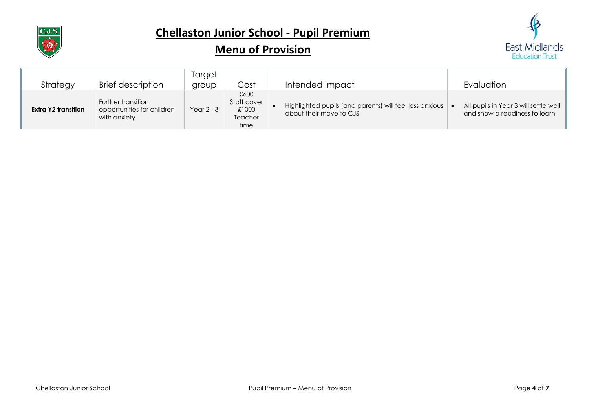

# **Chellaston Junior School - Pupil Premium**

# **Menu of Provision**



| Strategy            | <b>Brief description</b>                                         | Target<br>group | Cost                                                   | Intended Impact                                                                    | Evaluation                                                             |
|---------------------|------------------------------------------------------------------|-----------------|--------------------------------------------------------|------------------------------------------------------------------------------------|------------------------------------------------------------------------|
| Extra Y2 transition | Further transition<br>opportunities for children<br>with anxiety | Year $2 - 3$    | £600<br>Staff cover<br>£1000<br><b>Teacher</b><br>time | Highlighted pupils (and parents) will feel less anxious<br>about their move to CJS | All pupils in Year 3 will settle well<br>and show a readiness to learn |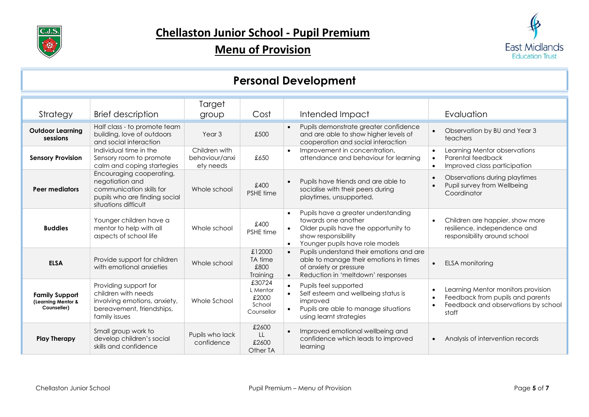



### **Personal Development**

|                                                            |                                                                                                                                  | Target                                       |                                                     |                                                                                                                                                                                        |                                                                                                                                                               |
|------------------------------------------------------------|----------------------------------------------------------------------------------------------------------------------------------|----------------------------------------------|-----------------------------------------------------|----------------------------------------------------------------------------------------------------------------------------------------------------------------------------------------|---------------------------------------------------------------------------------------------------------------------------------------------------------------|
| Strategy                                                   | <b>Brief description</b>                                                                                                         | group                                        | Cost                                                | Intended Impact                                                                                                                                                                        | Evaluation                                                                                                                                                    |
| <b>Outdoor Learning</b><br>sessions                        | Half class - to promote team<br>building, love of outdoors<br>and social interaction                                             | Year <sub>3</sub>                            | £500                                                | Pupils demonstrate greater confidence<br>$\bullet$<br>and are able to show higher levels of<br>cooperation and social interaction                                                      | Observation by BU and Year 3<br>$\bullet$<br>teachers                                                                                                         |
| <b>Sensory Provision</b>                                   | Individual time in the<br>Sensory room to promote<br>calm and coping startegies                                                  | Children with<br>behaviour/anxi<br>ety needs | £650                                                | Improvement in concentration,<br>attendance and behaviour for learning                                                                                                                 | Learning Mentor observations<br>$\bullet$<br>Parental feedback<br>$\bullet$<br>Improved class participation<br>$\bullet$                                      |
| Peer mediators                                             | Encouraging cooperating,<br>negotiation and<br>communication skills for<br>pupils who are finding social<br>situations difficult | Whole school                                 | £400<br>PSHE time                                   | Pupils have friends and are able to<br>$\bullet$<br>socialise with their peers during<br>playtimes, unsupported.                                                                       | Observations during playtimes<br>$\bullet$<br>Pupil survey from Wellbeing<br>Coordinator                                                                      |
| <b>Buddies</b>                                             | Younger children have a<br>mentor to help with all<br>aspects of school life                                                     | Whole school                                 | £400<br><b>PSHE</b> time                            | Pupils have a greater understanding<br>$\bullet$<br>towards one another<br>Older pupils have the opportunity to<br>show responsibility<br>Younger pupils have role models<br>$\bullet$ | Children are happier, show more<br>$\bullet$<br>resilience, independence and<br>responsibility around school                                                  |
| <b>ELSA</b>                                                | Provide support for children<br>with emotional anxieties                                                                         | Whole school                                 | £12000<br>TA time<br>£800<br>Training               | Pupils understand their emotions and are<br>$\bullet$<br>able to manage their emotions in times<br>of anxiety or pressure<br>Reduction in 'meltdown' responses<br>$\bullet$            | ELSA monitoring<br>$\bullet$                                                                                                                                  |
| <b>Family Support</b><br>(Learning Mentor &<br>Counseller) | Providing support for<br>children with needs<br>involving emotions, anxiety,<br>bereavement, friendships,<br>family issues       | Whole School                                 | £30724<br>L Mentor<br>£2000<br>School<br>Counsellor | Pupils feel supported<br>$\bullet$<br>Self esteem and wellbeing status is<br>improved<br>Pupils are able to manage situations<br>using learnt strategies                               | Learning Mentor monitors provision<br>$\bullet$<br>Feedback from pupils and parents<br>$\bullet$<br>Feedback and observations by school<br>$\bullet$<br>staff |
| <b>Play Therapy</b>                                        | Small group work to<br>develop children's social<br>skills and confidence                                                        | Pupils who lack<br>confidence                | £2600<br>LL.<br>£2600<br>Other TA                   | Improved emotional wellbeing and<br>$\bullet$<br>confidence which leads to improved<br>learning                                                                                        | Analysis of intervention records<br>$\bullet$                                                                                                                 |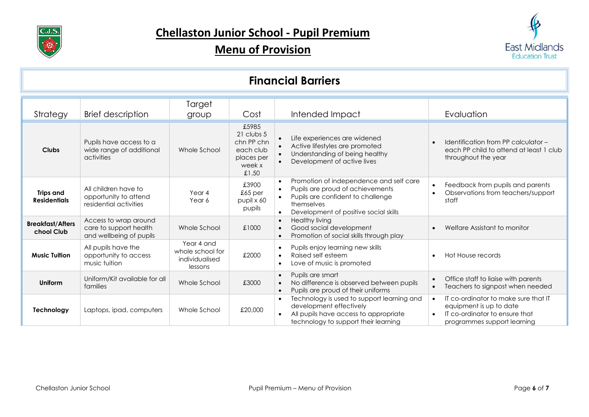



#### **Financial Barriers**

| Strategy                                | <b>Brief description</b>                                                   | Target<br>group                                             | Cost                                                                              | Intended Impact<br>Evaluation                                                                                                                                                                                                                                                                                                     |
|-----------------------------------------|----------------------------------------------------------------------------|-------------------------------------------------------------|-----------------------------------------------------------------------------------|-----------------------------------------------------------------------------------------------------------------------------------------------------------------------------------------------------------------------------------------------------------------------------------------------------------------------------------|
| <b>Clubs</b>                            | Pupils have access to a<br>wide range of additional<br>activities          | Whole School                                                | £5985<br>$21$ clubs 5<br>chn PP chn<br>each club<br>places per<br>week x<br>£1.50 | Life experiences are widened<br>Identification from PP calculator -<br>Active lifestyles are promoted<br>each PP child to attend at least 1 club<br>Understanding of being healthy<br>throughout the year<br>Development of active lives                                                                                          |
| <b>Trips and</b><br><b>Residentials</b> | All children have to<br>opportunity to attend<br>residential activities    | Year 4<br>Year 6                                            | £3900<br>$£65$ per<br>pupil x 60<br>pupils                                        | Promotion of independence and self care<br>Feedback from pupils and parents<br>$\bullet$<br>Pupils are proud of achievements<br>Observations from teachers/support<br>$\bullet$<br>Pupils are confident to challenge<br>staff<br>themselves<br>Development of positive social skills                                              |
| <b>Breakfast/Afters</b><br>chool Club   | Access to wrap around<br>care to support health<br>and wellbeing of pupils | Whole School                                                | £1000                                                                             | <b>Healthy living</b><br>$\bullet$<br>Welfare Assistant to monitor<br>Good social development<br>Promotion of social skills through play                                                                                                                                                                                          |
| <b>Music Tuition</b>                    | All pupils have the<br>opportunity to access<br>music tuition              | Year 4 and<br>whole school for<br>individualised<br>lessons | £2000                                                                             | Pupils enjoy learning new skills<br>Raised self esteem<br>Hot House records<br>$\bullet$<br>Love of music is promoted                                                                                                                                                                                                             |
| Uniform                                 | Uniform/Kit available for all<br>families                                  | Whole School                                                | £3000                                                                             | Pupils are smart<br>$\bullet$<br>Office staff to liaise with parents<br>$\bullet$<br>No difference is observed between pupils<br>Teachers to signpost when needed<br>$\bullet$<br>Pupils are proud of their uniforms                                                                                                              |
| Technology                              | Laptops, ipad, computers                                                   | Whole School                                                | £20,000                                                                           | Technology is used to support learning and<br>IT co-ordinator to make sure that IT<br>$\bullet$<br>$\bullet$<br>development effectively<br>equipment is up to date<br>IT co-ordinator to ensure that<br>All pupils have access to appropriate<br>$\bullet$<br>technology to support their learning<br>programmes support learning |